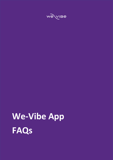# **We-Vibe App FAQs**

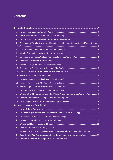# **Contents**

| 1.  |                                                                                              |  |
|-----|----------------------------------------------------------------------------------------------|--|
| 2.  |                                                                                              |  |
| 3.  |                                                                                              |  |
| 4.  | Can I pair my We-Vibe toy to two different devices (my smartphone, tablet, iPad) at the same |  |
| 5.  |                                                                                              |  |
| 6.  |                                                                                              |  |
| 7.  |                                                                                              |  |
| 8.  |                                                                                              |  |
| 9.  |                                                                                              |  |
| 10. |                                                                                              |  |
| 11. |                                                                                              |  |
| 12. |                                                                                              |  |
| 13. |                                                                                              |  |
| 14. |                                                                                              |  |
| 15. |                                                                                              |  |
| 16. |                                                                                              |  |
| 17. | What are the differences between the iOS and Android version of the We-Vibe App? 9           |  |
| 18. |                                                                                              |  |
|     |                                                                                              |  |
|     |                                                                                              |  |
| 1.  |                                                                                              |  |
| 2.  | Do I need to give you any personal information to use the We-Vibe App? 10                    |  |
| 3.  |                                                                                              |  |
| 4.  |                                                                                              |  |
| 5.  |                                                                                              |  |
| 6.  |                                                                                              |  |
| 7.  | Why does We-Vibe App need permission to access my location on Android devices?  11           |  |
| 8.  | Does the We-Vibe App need access to my device's camera or microphone?11                      |  |
| 9.  |                                                                                              |  |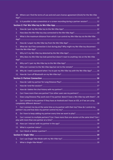|                | 10. Where can I find the terms of use and end users license agreement (EULA) for the We-Vibe |  |
|----------------|----------------------------------------------------------------------------------------------|--|
|                |                                                                                              |  |
|                | 11. Is it possible to take screenshots or a screen recording during a partner session?12     |  |
|                |                                                                                              |  |
| 1.             |                                                                                              |  |
| 2.             |                                                                                              |  |
| 3.             | What is the maximum distance from which I can control my We-Vibe toy via the We-Vibe         |  |
| 4.             |                                                                                              |  |
| 5.             | What do I do if the connection is lost during play? Why might my We-Vibe toy disconnect      |  |
| 6.             |                                                                                              |  |
| 7.             | Why does my We-Vibe toy look paired but doesn't react to anything I do on the We-Vibe        |  |
|                |                                                                                              |  |
| 8.             |                                                                                              |  |
| 9.             |                                                                                              |  |
| 10.            | Why do I need a password when I try to pair my We-Vibe toy with the We-Vibe App?  16         |  |
| 11.            |                                                                                              |  |
|                |                                                                                              |  |
| 1.             |                                                                                              |  |
| 2.             |                                                                                              |  |
| 3.             |                                                                                              |  |
| 4.             | Can I have more than one partner? Can other users see my partners? 18                        |  |
| 5.             | Does Long Distance Play work even if my partner doesn't have a We-Vibe toy with them?  18    |  |
| 6.             | Can I connect to my partner if they have an Android and I have an iOS, or if we are using    |  |
| 7.             | Can I connect my toy at the same time as my partner with their toy? How do I control my      |  |
| 8.             |                                                                                              |  |
| 9.             | Can I connect to multiple partners? Can I have more than one session at the same time? Can I |  |
|                |                                                                                              |  |
|                |                                                                                              |  |
|                |                                                                                              |  |
|                |                                                                                              |  |
| $\mathbf{1}$ . |                                                                                              |  |
| 2.             |                                                                                              |  |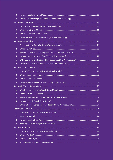| 3. |  |
|----|--|
| 4. |  |
|    |  |
| 1. |  |
| 2. |  |
| 3. |  |
| 4. |  |
|    |  |
| 1. |  |
| 2. |  |
| 3. |  |
| 4. |  |
| 5. |  |
| 6. |  |
|    |  |
| 1. |  |
| 2. |  |
| 3. |  |
| 4. |  |
|    |  |
| 1. |  |
| 2. |  |
| 3. |  |
| 4. |  |
| 5. |  |
|    |  |
| 1. |  |
| 2. |  |
| 3. |  |
| 4. |  |
|    |  |
| 1. |  |
| 2. |  |
| 3. |  |
| 4. |  |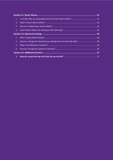| 1.             |  |  |
|----------------|--|--|
| 2.             |  |  |
| 3.             |  |  |
| 4.             |  |  |
|                |  |  |
| $\mathbf{1}$ . |  |  |
| 2.             |  |  |
| 3.             |  |  |
|                |  |  |
|                |  |  |
|                |  |  |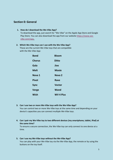# <span id="page-5-0"></span>**Section 0: General**

<span id="page-5-1"></span>**1. How do I download the We-Vibe App?**

To download the app, just search for "We-Vibe" on the Apple App Store and Google Play Store. You can also download the app from our website **[https://www.we](https://www.we-vibe.com/app)[vibe.com/app.](https://www.we-vibe.com/app)**

#### <span id="page-5-2"></span>**2. Which We-Vibe toys can I use with the We-Vibe App?**

These are the current We-Vibe toys that are compatible with the We-Vibe App:

| <b>Bond</b>   | <b>Bloom</b>     |
|---------------|------------------|
| <b>Chorus</b> | <b>Ditto</b>     |
| Gala          | Jive             |
| <b>Melt</b>   | <b>Moxie</b>     |
| Nova 1        | Nova 2           |
| <b>Pivot</b>  | Rave             |
| <b>Sync</b>   | <b>Vector</b>    |
| <b>Verge</b>  | Wand             |
| Wish          | <b>WV 4 Plus</b> |

# <span id="page-5-3"></span>**3. Can I use two or more We-Vibe toys with the We-Vibe App?**

You can control two or more We-Vibe toys at the same time and depending on your device's capacities you can connect multiple We-Vibe toys.

<span id="page-5-4"></span>**4. Can I pair my We-Vibe toy to two different devices (my smartphone, tablet, iPad) at the same time?**

To ensure a secure connection, the We-Vibe toy can only connect to one device at a time.

# <span id="page-5-5"></span>**5. Can I use my We-Vibe toys without the We-Vibe App?**

You can play with your We-Vibe toy via the We-Vibe App, the remote or by using the buttons on the toy itself.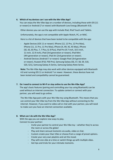# <span id="page-6-0"></span>**6. Which of my devices can I use with the We-Vibe App?**

You can enjoy the We‑Vibe App on a number of devices, including those with iOS (11 or newer) or Android (7 or newer) with Bluetooth Low Energy (Bluetooth 4.0).

Other devices you can use the app with include iPad, iPod Touch and Tablets.

Unfortunately, the app is not compatible with Apple Watch, PC, or MAC.

Here is a list of devices that have been tested to be compatible with the app:

- Apple Devices (iOS 11 or newer): iPhone (12, 12 Pro, 12 Pro Max), iPhone (11, 11 Pro, 11 Pro Max), iPhone (X, XR, XS, XS Max), iPhone (SE, 6S, 6S Plus, 7, 7 Plus, 8, 8 Plus), iPad Pro (9.7-inch, 10.5-inch, 11-inch, 12.9-inch), iPad (3rd generation or newer), iPad Mini (4th generation or newer), iPad Air (2nd generation or newer).
- Android Devices (Android 7 or newer): Google Pixel (3rd generation or newer), Huawei (P10, P30 Pro), Samsung Galaxy (S6, S7, S8, S9, S10, S20, S21), Samsung Galaxy A-Series, Samsung Galaxy Note Series.

**Note:** The We-Vibe App may also work with other devices equipped with Bluetooth 4.0 and running iOS 11 or Android 7 or newer. However, these devices have not been tested and compatibility cannot be guaranteed.

#### <span id="page-6-1"></span>**7. Do I need to connect to Wi-Fi or stay online to use the We-Vibe App?**

The app's basic features (pairing and controlling your toy using Bluetooth) can be used without an internet connection. To update content or connect with your partner, you will need to go online.

The We-Vibe App pairs with your We-Vibe toy using Bluetooth. This means that you can control your We-Vibe toy from the We-Vibe App without connecting to the internet. However, if you want to video call or chat with your partner, you will need to make sure you have an internet connection available.

# <span id="page-6-2"></span>**8. What can I do with the We-Vibe App?**

With the app you can explore new ways to play. Connect to your partner:

- Invite your partner to control your We-Vibe toy whether they're across the room or across the globe!
- Play and share sensual moments via audio, video or chat.
- Custom create your Own Vibe or choose from a range of preset options.
- Create your very own playlists and set the mood.
- Play with one vibe at a time or switch things up with multiple vibes.
- Get tips and tricks for your intimate moments.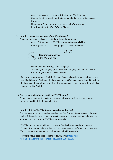- Access exclusive articles and get tips for your We-Vibe toy.
- Control the vibration of your toy(s) by simply sliding your fingers across the screen.
- Unlock new Chorus features and modes with Touch Sense.
- Play discreetly with Wand's Smart Silence.

#### <span id="page-7-0"></span>**9. How do I change the language of my We-Vibe App?**

Changing the language is easy, just follow these simple steps:

Access Settings via the We-Vibe center by tapping/clicking on the gear icon  $\bigcirc$  on the top right corner of the screen.



**Pleasure to meet you** in the We-Vibe App

- Under "Personal Settings" tap "Language"
- To select your language, tap the current language and choose the best option for you from the available ones.

Currently the app supports English, German, Spanish, French, Japanese, Russian and Simplified Chinese. To change the language on an iOS device, you will need to switch the language of your phone in settings. If your language is not supported, the display language will be English.

# <span id="page-7-1"></span>**10. Can I rename We-Vibe toys with the We-Vibe App?**

To make your toy easy to locate and manage with your devices, the toy's name cannot be modified via the We-Vibe App.

#### <span id="page-7-2"></span>**11. How do I link the We-Vibe App to my webcamming site?**

The best way to do this is by downloading the Feel Connect App onto your phone or device. This app lets you connect interactive products to your camming platform, so your fans can control your We-Vibe toys remotely.

We-Vibe has partnered with tech company Feel Technology and uses the Feel Connect App to enable interactive sessions between cam performers and their fans. This is the same innovative technology used with Kiiroo products.

For more info, please check out the following link: [https://feel](https://feel-technologies.com/index-connect.php?userid=6788219002)[technologies.com/index-connect.php?userid=6788219002](https://feel-technologies.com/index-connect.php?userid=6788219002)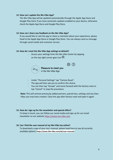#### <span id="page-8-0"></span>**12. How can I update the We-Vibe App?**

The We-Vibe App will be updated automatically through the Apple App Store and Google Play Store if you have automatic updates enabled on your device, otherwise check the Apple App Store and Google Play Store.

#### <span id="page-8-1"></span>**13. How can I share any feedback on the We-Vibe App?**

If you would like to rate the app or share a comment about your experience, please head to the Apple App Store or Google Play Store. You can always send us message through social media and customer service.

#### <span id="page-8-2"></span>**14. How do I reset the We-Vibe App settings to default?**

Access your settings from the We-Vibe Center by tapping on the top right corner gear icon  $\mathbb{Q}$ .



Pleasure to meet you in the We-Vibe App

- Under "Personal Settings" tap "Factory Reset".
- The app will then ask you to confirm this choice.
- You can then tap "Accept" and move forward with the factory reset or tap "Cancel" to stop the procedure.

**Note:** This will remove previously added partners, paired toys, settings and any Own Vibes you may have created. Close the app after factory reset and open it again.

#### <span id="page-8-3"></span>**15. How do I sign up for the newsletter and special offers?**

To keep in touch, you can follow our social media and sign up for our email newsletter on our website **[https://www.we-vibe.com](https://www.we-vibe.com/)**.

#### <span id="page-8-4"></span>**16. Can I find the user manual of my We-Vibe toy online?**

To download a copy of your toy's manual, please head here to see all currently available options: **[https://www.We-Vibe.com/de/user-manuals](https://www.we-vibe.com/de/user-manuals)**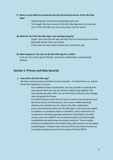# <span id="page-9-0"></span>**17. What are the differences between the iOS and Android version of the We-Vibe App?**

- Android devices have the Enhanced Bluetooth scan
- The Google Play Store version of the We-Vibe App does not show any icons of the We-Vibe toys you have paired, only the names.

#### <span id="page-9-1"></span>**18. What do I do if the We-Vibe App is not working properly?**

- Unpair your toys from the app and clear the list of previously connected Bluetooth devices from your phone.
- If that does not work, please delete and re-install the app.

#### <span id="page-9-2"></span>**19. What happens if I do not use the We-Vibe App for a while?**

If you do not use the app for 90 days, all partner-related data is automatically deleted.

# <span id="page-9-3"></span>**Section 1: Privacy and Data Security**

#### <span id="page-9-4"></span>**1. How safe is the We-Vibe App?**

We take customer privacy and data security seriously – it's important to us, and we know how important it is to you.

- As an additional layer of protection, you may consider un-pairing from your partner when you are not actively using the app together and securing the app with a PIN. You can find these functions in the settings menu by going into Privacy.
- It's worth bearing in mind that we have no control over the privacy and security practices of third-parties, such as your mobile operating software, the network you are using or any other applications.
- Every communication within the We-Vibe App is end-to-end encrypted. Encryption is a mandatory feature of WebRTC, and is enforced on all components, including signaling mechanisms. Resultantly, all media streams sent over WebRTC are securely encrypted, enacted through standardized and well-known encryption protocols. The encryption protocol used depends on the channel type; data streams are encrypted using Datagram Transport Layer Security (DTLS) and media streams are encrypted using Secure Real-time Transport Protocol (SRTP).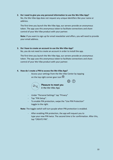# <span id="page-10-0"></span>**2. Do I need to give you any personal information to use the We-Vibe App?** No, the We-Vibe App does not request any unique identifiers like your name or address.

The first time you launch the We-Vibe App, our servers provide an anonymous token. The app uses this anonymous token to facilitate connections and share control of your We-Vibe product with your partner.

**Note:** If you want to sign up for email newsletter and offers, you will need to provide your email address.

# <span id="page-10-1"></span>**3. Do I have to create an account to use the We-Vibe App?**

No, you do not need to create an account in order to install the app.

The first time you launch the We-Vibe App, our servers provide an anonymous token. The app uses this anonymous token to facilitate connections and share control of your We-Vibe product with your partner.

# <span id="page-10-2"></span>**4. How do I create a PIN to access the We-Vibe App?**

Access your settings from the We-Vibe Center by tapping on the top right corner gear icon  $\mathbb{Q}$ .



Pleasure to meet you in the We-Vibe App

- Under "Personal Settings" tap "Privacy"
- Tap "PIN Setup".
- To enable PIN protection, swipe the "Use PIN Protection" toggle to the right.

**Note:** The toggle switch will turn purple when PIN protection is enabled.

After enabling PIN protection, the app will request you to type your new PIN twice. The second time is for confirmation. After this, tap "CREATE PIN".

 $\{0\}$   $(?)$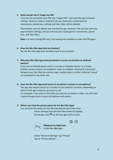## <span id="page-11-0"></span>**5. What should I do if I forget my PIN?**

If you do not remember your PIN, tap "Forgot PIN?" and reset the app to factory settings. However, keep in mind that all your previously created partner connections, paired toys, settings and Own Vibes will be deleted.

Alternatively, you can delete and reinstall the app. However, this will also reset the app to factory settings, and you will lose your saved partner connections, paired toys, and Own Vibes.

**Note:** For every wrong PIN entry, the waiting time doubles to enter the PIN again.

#### <span id="page-11-1"></span>**6. Does the We-Vibe App track my location?**

No, the We-Vibe App does not keep track of your location.

<span id="page-11-2"></span>**7. Why does We-Vibe App need permission to access my location on Android devices?**

If you use an Android device and it is running on Android version 11 or lower, location services need to be enabled in order to establish a Bluetooth connection between your We-Vibe toy and your app. Location data is neither collected, stored nor processed in any other way.

# <span id="page-11-3"></span>**8. Does the We-Vibe App need access to my device's camera or microphone?**

The app may require access to a number of your device's functions, depending on which of the app's features you want to use.

For example, if you want to chat with your partner via audio or video, you will need to give the app access to your microphone and camera.

# <span id="page-11-4"></span>**9. Where can I find the privacy policy for the We-Vibe App?**

You can find information on the We-Vibe App Privacy Policy here:

Access Settings from the We-Vibe Center by tapping on the gear icon  $\ddot{\mathbb{Q}}$  on the top right of the screen.





Pleasure to meet you in the We-Vibe App

- Under "Personal Settings" tap "Privacy"
- Tap on "Privacy Notice".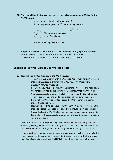- <span id="page-12-0"></span>**10. Where can I find the terms of use and end users license agreement (EULA) for the We-Vibe App?**
	- Access your settings from the We-Vibe Center by tapping on the gear icon  $\bigcirc$  in the top right corner

෯

 $(2)$ 



- Under "Links" tap "Terms of Use".
- <span id="page-12-1"></span>**11. Is it possible to take screenshots or a screen recording during a partner session?** It is not possible to take screenshots or screen recording on Android. On iOS there is no option to prevent users from taking screenshots.

# <span id="page-12-2"></span>**Section 2: Pair We-Vibe toy to We-Vibe App**

# <span id="page-12-3"></span>**1. How do I pair my We-Vibe toy to the We-Vibe App?**

- To pair your We-Vibe toy with the We-Vibe App, simply follow the in-app instructions. *Please avoid manually adding your toy through the Bluetooth settings of your device.*
- For Chorus you have to pair it with the remote first, press and hold down the function button on the remote for 5 seconds. Once your We-Vibe Chorus is successfully paired, the light will blink and the toy will vibrate.
- To put your toy in paring mode, just press and hold down the control button of your We-Vibe toy for 5 seconds. When the toy is in pairing mode, it will pulse twice.
- Now you're ready to pair your toy with the We-Vibe App. Just tap on the menu and select "Connect your toy." There should be a + icon, click on this and select the We-Vibe toy you want to pair. Your toy will vibrate to let you know it has successfully paired and the app Bluetooth connection will show as active.

Troubleshooting: If you're experiencing any issues connecting with a toy that was previously paired, just unpair the toy from your app. Then you can manually remove it from your Bluetooth settings and you're ready to try the pairing process again.

Troubleshooting: If you would like to reset your We-Vibe toy, just press and hold the control button on the toy for 10 seconds. After 5 seconds the toy will vibrate twice and after 10 seconds you will see the LED light flash 3 times to confirm the reset.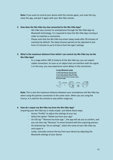**Note:** If you want to control your device with the remote again, just reset the toy, close the app, and pair it again with your We-Vibe remote.

# <span id="page-13-0"></span>**2. How does the We-Vibe toy stay connected to the We-Vibe App?**

- We-Vibe toys connect to smartphones through the We-Vibe App via Bluetooth technology. It is required to have the We-Vibe App running in order to maintain a connection.
- Please note that the We-Vibe toy enters sleep mode after 30 minutes of inactivity by default. The sleep timeout period can be adjusted to last from 15 minutes to up to 4 hours from the app's settings.
- <span id="page-13-1"></span>**3. What is the maximum distance from which I can control my We-Vibe toy via the We-Vibe App?** 
	- In a range within 10ft (3 meters) of the We-Vibe toy, you can expect stable connection. As soon as an object that can interfere with the signal is in the way, you may experience some delays in the connection.

#### Long distance play

To play long distance, both you and your partner need the We-Vibe App on your smartphones. Vector is then paired to the phone that remains within Bluetooth range.



**Note:** This is also the maximum distance between your smartphone and We-Vibe toy when using the partner connection in the same room. When you are using the Chorus, it is vital for the remote to stay within range too.

# <span id="page-13-2"></span>**4. How do I unpair my We-Vibe toy from the We-Vibe App?**

Unpairing your We-Vibe toy is really simple. Just follow these steps:

- Access "Profile" to adjust the settings of your toy
- Select the option "Delete toy from your app"
- On iOS tap ""Remove toy from app ", the app will ask you to confirm, and you can then tap "Remove" to move forward with the unpairing process.
- On Android tap "Go to settings", select the name of your We-Vibe toy and unpair it.
- Lastly, manually remove the toy from your device by adjusting the Bluetooth settings of your device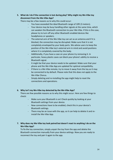# <span id="page-14-0"></span>**5. What do I do if the connection is lost during play? Why might my We-Vibe toy disconnect from the We-Vibe App?**

There may be a few reasons as to why this could occur:

- You have exceeded the ideal Bluetooth range of 10ft (3 meters).
- Your device may be busy handling other signals at the same time, which can weaken the Bluetooth connection to your We-Vibe. If this is the case, please try to turn off any other Bluetooth enabled devices like headphones or speakers.
- The external arm of the We-Vibe toy can act as an antenna and if it is blocked, the connection may be disrupted. Make sure that it is not completely enveloped by your body parts. We advise users to keep the position of the We-Vibe toy's external arm in mind and avoid positions where it is completely covered by the body.
- Additionally, if you have a case on your phone try removing it. In particular, heavy plastic cases can block your phone's ability to receive a Bluetooth signal.
- It might be that your device needs to be updated. Make sure that your phone and the We-Vibe App are updated for optimal compatibility.
- If there is a We-Vibe remote, try to move it away from the toy as it may be connected to by default. Please note that this does not apply to the We-Vibe Chorus.
- Simply deleting and re-installing the app might help to reset the connections and operations.

# <span id="page-14-1"></span>**6. Why isn't my We-Vibe toy detected by the We-Vibe App?**

There are few possible reasons as to why this might occur. Here are few things to check:

- Make sure your Bluetooth is on! Check quickly by looking at your Bluetooth settings from your device.
- New connections have to be enabled, check this in your device's Bluetooth settings.
- There may be an issue with the app, so it can help to delete it and reinstall the We-Vibe App.

# <span id="page-14-2"></span>**7. Why does my We-Vibe toy look paired but doesn't react to anything I do on the We-Vibe App?**

To fix the toy connection, simply unpair the toy from the app and delete the Bluetooth connection manually from your device settings. Now you are ready to reconnect the toy and pair it again to the app.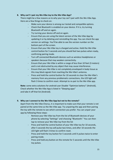# <span id="page-15-0"></span>**8. Why can't I pair my We-Vibe toy to the We-Vibe App?**

There might be a few reasons as to why your toy can't pair with the We-Vibe App. Here are a few things to check on:

- Make sure your device is among our tested and compatible options.
- Check that Bluetooth is enabled on your device. If it is, try turning Bluetooth off and on again.
- Try turning your device off and on again.
- Ensure that you are using the latest version of the We-Vibe App by updating it or by deleting and reinstalling the app. You can check the app version on settings. You'll be able to see the version number on the bottom part of the screen.
- Ensure that your We-Vibe toy is charged and active. Hold the We-Vibe control button for 5 seconds and you should feel two pulses when ready, confirming pairing mode.
- Turn off connected Bluetooth devices such as wireless headphones or speakers because that may weaken connectivity.
- Ensure that your We-Vibe is within a range of less than 10 feet (3 meters) and is not obstructed by any object that may cause interference.
- Ensure that your We-Vibe is not completely enveloped in body tissue as this may block signals from reaching the We-Vibe's antenna.
- Press and hold the control button for 10 seconds to clear the We-Vibe's memory from any previous problematic connections, the LED light will flash 3 times to confirm reset. Attempt to re-pair to the We-Vibe app.

**Note:** some extra solutions for android user Disable "Optimize battery" (Android), Check whether the We-Vibe App is listed in "Sleeping apps" and take it off that list (Android).

# <span id="page-15-1"></span>**9. Why can I connect to the We-Vibe App but not to the remote?**

Apart from the We-Vibe Chorus, it is important to make sure that your remote is not paired at the same time as the We-Vibe app. Try unpairing the app and then pairing the toy with the remote to see which connection you prefer. You can unpair your app by following these steps:

- Remove your We-Vibe toy from the list of Bluetooth devices of your phone by selecting "Settings" and choosing "Bluetooth." You can then tap to remove your We-Vibe toy from the list
- Press and hold the control button of your We-Vibe toy for 10 seconds, after 5 seconds the toy will pulse two times, and after 10 seconds the LED light will flash 3 times to confirm reset.
- Press and hold the toy button for 5 seconds until it pulses twice to enter pairing mode.
- Press and hold any button on the remote for 5 seconds until the We-Vibe toy pulses.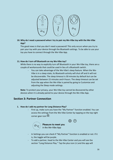

# <span id="page-16-0"></span>**10. Why do I need a password when I try to pair my We-Vibe toy with the We-Vibe App?**

The good news is that you don't need a password! This only occurs when you try to pair your toy with your device through the Bluetooth settings. To be able to use your toy you have to connect through the We-Vibe App.

# <span id="page-16-1"></span>**11. How do I turn off Bluetooth on my We-Vibe toy?**

While there is no way to explicitly turn off Bluetooth in your We-Vibe toy, there are a couple of workarounds that could be used in lieu of a Bluetooth switch.

- You can take advantage of the We-Vibe's sleep feature. When the We-Vibe is in a sleep state, its Bluetooth activity will shut off and it will not be discoverable. The sleep timeout is 30 minutes by default but can be adjusted between 15 minutes and 4 hours. The sleep timeout can be set from the app when the We-Vibe is paired by going to Customize and adjusting the Sleep mode settings.

**Note:** To protect your privacy, your We-Vibe toy cannot be discovered by other devices when it is already paired to your device through the We-Vibe App.

# <span id="page-16-2"></span>**Section 3: Partner Connection**

# <span id="page-16-3"></span>**1. How do I add my partner for Long Distance Play?**

First up, make sure you have the "My Partner" function enabled. You can access the settings from the We-Vibe Center by tapping on the top right  $\overline{\mathcal{O}}$  corner gear icon  $\overline{\mathcal{O}}$ .



# {ිර} (?) **Pleasure to meet you**

in the We-Vibe App

- In Settings you can check if "My Partner" function is enabled or not. If it is, the toggle will be purple.
- To add a partner, head to the We-Vibe Center and you will see the section "Long Distance Play." Tap the plus icon (+) and the app will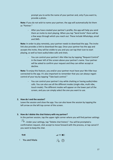prompt you to write the name of your partner and, only if you want to, provide a photo.

**Note:** If you do not wish to name your partner, the app will automatically list them as "Partner."

- After you have created your partner's profile, the app will help you send them an invite to start playing. When you tap "Send Invite" there will be a few ways through which you reach out. These include WhatsApp, email and SMS.

**Note:** In order to play remotely, your partner needs to download the app. The invite link also provides a link to download the app. Once your partner has the app and accepts the invite, they will be visible to you and you can tap their icon to start playing, as well as have audio/video calls and chats.

You can control your partner's We-Vibe toy by tapping "Request Control" in the lower left of the screen above your partner's name. Your partner will be asked to confirm your request and they can either accept or decline.

**Note:** To enjoy this feature, you and/or your partner must have your We-Vibe toys connected to the app. It's also important to remember that you can always regain control of your toy by tapping "Take back control."

You can control your partner's toy while chatting or having audio/video calls. You can also use all the different modes (single vibe, multi vibe, touch mode). The different modes will appear on the lower part of the screen, and you can simply select the one you want to use.

# <span id="page-17-0"></span>**2. How do I end the session?**

Leave the session and close the app. You can also leave the session by tapping the left arrow on the left top corner of the screen.

# <span id="page-17-1"></span>**3. How do I delete the chat history with my partner?**

In the partner session, tap the upper right corner where you will find partner settings

 $\bigcirc$  . Under your settings, tap "Delete chat history". You will be prompted a confirmation request, click accept to move forward with the process, or tap cancel if you want to keep the chat.

| 9:41                               | $\mathbf{m} \mathbf{1} \in \mathbf{I}$ |
|------------------------------------|----------------------------------------|
| $\left\langle \quad$ You and Maria | $P_{\circledcirc}$ (?)                 |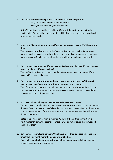## <span id="page-18-0"></span>**4. Can I have more than one partner? Can other users see my partners?**

- Yes, you can have more than one partner.
- Only you can see who your partners are.

**Note:** The partner connection is valid for 90 days. If the partner connection is inactive after 90 days, the partner session will be invalid and you have to add each other as partners again.

# <span id="page-18-1"></span>**5. Does Long Distance Play work even if my partner doesn't have a We-Vibe toy with them?**

Yes, they can control your toy via the We-Vibe App on their device. At least one partner needs to have a toy to be able to control and play, otherwise you can have partner sessions for chat and audio/videocalls without a toy being connected.

<span id="page-18-2"></span>**6. Can I connect to my partner if they have an Android and I have an iOS, or if we are using completely different devices?**

Yes, the We-Vibe App can connect to other We-Vibe App users, no matter if you have an iOS or Android device.

<span id="page-18-3"></span>**7. Can I connect my toy at the same time as my partner with their toy? How do I control my partner's toy and how does my partner control my toy?** Yes, of course! Both partners can add and play with toys at the same time. You can also share control of your toys by requesting access to your partner's toy and they can request control of your own toy.

#### <span id="page-18-4"></span>**8. Do I have to keep adding my partner every time we want to play?**

You only have to send an invite once to your partner to add them as your partner on the app. Once you have successfully added your partner, you can just tap the partner icon on the upper part of the screen when your partner appears online with a green dot next to their icon.

**Note:** The partner connection is valid for 90 days. If the partner connection is inactive after 90 days, the partner connection will be removed, and you must add each other again.

<span id="page-18-5"></span>**9. Can I connect to multiple partners? Can I have more than one session at the same time? Can I play with more than one partner at a time?** You can have multiple partners at the same time, but you can only be in one play

session with one partner at a time.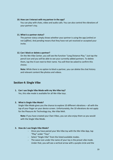#### <span id="page-19-0"></span>**10. How can I interact with my partner in the app?**

You can play with chats, video and audio calls. You can also control the vibrations of your partner's toy.

## <span id="page-19-1"></span>**11. What is a partner status?**

The partner status simply shows whether your partner is using the app (*online*) or not (*offline*). And *pending* means that they have not yet received or accepted your invite.

# <span id="page-19-2"></span>**12. Can I block or delete a partner?**

On the We-Vibe Center, you will see the function "Long Distance Play." Just tap the pencil icon and you will be able to see your currently added partners. To delete them, tap the X icon next to their name. You will then be asked to confirm this choice.

**Note:** While there is no option to block a partner, you can delete the chat history and relevant content like photos and videos.

# <span id="page-19-3"></span>**Section 4: Single Vibe**

<span id="page-19-4"></span>**1. Can I use Single Vibe Mode with my We-Vibe toy?** Yes, this vibe mode is available for all We-Vibe toys.

#### <span id="page-19-5"></span>**2. What is Single Vibe Mode?**

Single Vibe Mode gives you the chance to explore 10 different vibrations – all with the tap of your finger on your device screen. Unfortunately, the 10 vibrations do not apply for the Pleasure Air Technology toy, We-Vibe Melt.

**Note:** If you have created your Own Vibes, you can also enjoy them as you would with the Single Vibe Mode.

# <span id="page-19-6"></span>**3. How do I use Single Vibe Mode?**

- Once you have paired your We-Vibe toy with the We-Vibe App, tap "Play" under "Toys"
- Select "Single Vibe" from the listed available modes.
- The wave icon under the name of your toy is the preset vibe mode. Under that, you will see a vertical arrow with a purple circle and the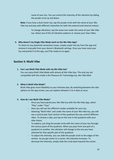name of your toy. You can control the intensity of the vibration by sliding the purple circle up and down.

**Note:** If you have a dual motor toy, tap the purple circle with the name of your We-Vibe toy and play with different intensities for both the external and internal motors.

To change vibrations, tap the wave icon under the name of your We-Vibe toy. Select one of the 10 vibration patterns or choose your Own Vibes.

# <span id="page-20-0"></span>**4. Why doesn't my Single Vibe Mode work on the We-Vibe App?**

To check on any potential connection issues, simply unpair the toy from the app and remove it manually from your device's Bluetooth settings. Once you have reset your toy and paired it to the app, you'll be ready to try again.

# <span id="page-20-1"></span>**Section 5: Multi Vibe**

#### <span id="page-20-2"></span>**1. Can I use Multi Vibe Mode with my We-Vibe toy?**

You can enjoy Multi Vibe Mode with almost all We-Vibe toys. The only toy not compatible with this mode is the Pleasure Air Technology toy, We-Vibe Melt.

# <span id="page-20-3"></span>**2. What is Multi Vibe Mode?**

Multi Vibe gives more flexibility to your intimate play. By switching between the vibe options on the app screen, you can explore between 2 to 4 vibes at once.

# <span id="page-20-4"></span>**3. How do I use Multi Vibe Mode?**

- Once you have paired your We-Vibe toy with the We-Vibe App, select "Play" under "Toys"
- Here you will see the different modes available for your toy.
- Selecting "Multi Vibe" and under the name of your We-Vibe toy, you will see a control pad. Each section of the quadrant lets you control different vibes. To choose a vibe, just tap on the icon in the quadrant with your vibe choice.
- To explore, just drag the purple circle with the name of your toy through the various parts of the quadrant. When you pass from one part of a quadrant to another, the vibration will change to the one you have selected for that specific part of the quadrant.
- To adjust the intensity, you can slide the purple circle to the edges of the section. As you get closer to a corner, the intensity increases. To decrease the intensity, simply slide the circle back towards the center.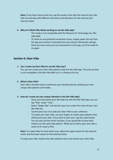**Note:** If you have a dual motor toy, tap the purple circle with the name of your We-Vibe toy and play with different intensities and vibrations for the external and internal motor.

## <span id="page-21-0"></span>**4. Why isn't Multi Vibe Mode working on my We-Vibe App?**

- This mode is not compatible with the Pleasure Air Technology toy, We-Vibe Melt.
- To check on any potential connection issues, simply unpair the toy from the app and remove it manually from your device's Bluetooth settings. Once you have reset your toy and paired it to the app, you'll be ready to try again

# <span id="page-21-1"></span>**Section 6: Own Vibe**

# <span id="page-21-2"></span>**1. Can I create my Own Vibe for my We-Vibe toys?**

Yes, you can create your Own Vibe patterns with the We-Vibe App. The only toy that is not compatible is the We-Vibe Melt as it is a Pleasure Air toy.

# <span id="page-21-3"></span>**2. What is Own Vibe?**

Own Vibe is the best way to customize your intimate play by creating your own unique vibe patterns and modes.

# <span id="page-21-4"></span>**3. How do I create my own unique vibration in the We-Vibe App?**

- Once you have paired your We-Vibe toy with the We-Vibe App, you can tap "Play" under "Toys".
- Select "Single Vibe" and tap the wave icon under the name of your own We-Vibe toy.
- Tap the plus icon (+) to add your Own Vibe to your collection.
- To create your Own Vibe, use your fingers to create wave patterns that will become your vibe. If you want to start over, tap the undo button. You can also use the mirror function, if you would like to have both motors use the same vibe pattern. While you're there, give your vibe a name so it's easy to find.

**Note:** To create vibes for dual motor toys, adjust the upper waves for the external motor and the lower waves for the internal motor.

To enjoy your vibe, head to the vibe selection menu and choose your Own Vibe.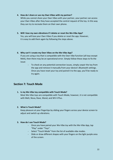#### <span id="page-22-0"></span>**4. How do I share or use my Own Vibes with my partner?**

While you cannot share your Own Vibes with your partner, your partner can access your Own Vibes after they have accepted the control request of the toy. In this way they can try to recreate them on their own phone.

<span id="page-22-1"></span>**5. Will I lose my own vibrations if I delete or reset the We-Vibe App?** Yes, you will lose your Own Vibes if you delete or reset the app. However,

it is easy to add them again by following the steps above.

#### <span id="page-22-2"></span>**6. Why can't I create my Own Vibes on the We-Vibe App?**

If you are using a toy that is compatible with the Own Vibe function (all toys except Melt), then there may be an operational error. Simply follow these steps to fix the issue:

- To check on any potential connection issues, simply unpair the toy from the app and remove it manually from your device's Bluetooth settings. Once you have reset your toy and paired it to the app, you'll be ready to try again.

# <span id="page-22-3"></span>**Section 7: Touch Mode**

# <span id="page-22-4"></span>**1. Is my We-Vibe toy compatible with Touch Mode?**

Most We-Vibe toys are compatible with Touch Mode, however, it is not compatible with Melt, Nova, Rave, Wand, and WV 4 Plus.

# <span id="page-22-5"></span>**2. What is Touch Mode?**

Keep pleasure at your fingertips by sliding your fingers across your device screen to adjust and switch up vibrations.

#### <span id="page-22-6"></span>**3. How do I use Touch Mode?**

- Once you have paired your We-Vibe toy with the We-Vibe App, tap "Play" under "Toys".
- Select "Touch Mode" from the list of available vibe modes.
- Slide or draw different shapes with your fingers on the light purple area of the screen.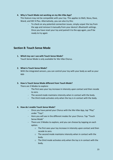## <span id="page-23-0"></span>**4. Why is Touch Mode not working on my We-Vibe App?**

This feature may not be compatible with your toy. This applies to Melt, Nova, Rave, Wand, and WV 4 Plus. Alternatively, you can also try this:

To check on any potential connection issues, simply unpair the toy from the app and remove it manually from your device's Bluetooth settings. Once you have reset your toy and paired it to the app again, you'll be ready to try again

# <span id="page-23-1"></span>**Section 8: Touch Sense Mode**

<span id="page-23-2"></span>**1. Which toy can I use with Touch Sense Mode?** Touch Sense Mode is only available for We-Vibe Chorus.

# <span id="page-23-3"></span>**2. What is Touch Sense Mode?**

With the integrated sensors, you can control your toy with your body as well as your app.

# <span id="page-23-4"></span>**3. How is Touch Sense Mode different from Touch Mode?**

There are 3 Modes to explore:

- The first sees your toy increase in intensity upon contact and then recede to zero.
- The second mode maintains intensity when in contact with the body.
- The third mode activates only when the toy is in contact with the body.

# <span id="page-23-5"></span>**4. How do I enable Touch Sense Mode?**

- Once you have paired your Chorus with the We-Vibe App, tap "Play" under "Toys".
- Here you will see in the different modes for your Chorus. Tap "Touch Sense Mode"
- There are 3 Modes to explore, and you can choose by tapping on each option.
	- o The first sees your toy increase in intensity upon contact and then recede to zero.
	- o The second mode maintains intensity when in contact with the body.
	- o The third mode activates only when the toy is in contact with the body.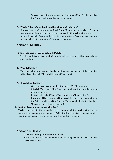You can change the intensity of the vibration on Mode 3 only, by sliding the Chorus circle up and down on the screen.

# <span id="page-24-0"></span>**5. Why isn't Touch Sense Mode working with my We-Vibe App?**

If you are using a We-Vibe Chorus, Touch Sense Mode should be available. To check on any potential connection issues, simply unpair the Chorus from the app and remove it manually from your device's Bluetooth settings. Once you have reset your toy and paired it to the app, you'll be ready to try again.

# <span id="page-24-1"></span>**Section 9: Multitoy**

## <span id="page-24-2"></span>**1. Is my We-Vibe toy compatible with Multitoy?**

Yes, this mode is available for all We-Vibe toys. Keep in mind that Melt can only play one vibration.

# <span id="page-24-3"></span>**2. What is Multitoy?**

This mode allows you to connect and play with more than one toy at the same time, while playing In Single Vibe, Multi Vibe, and Touch Mode.

# <span id="page-24-4"></span>**3. How do I use Multitoy?**

- Once you have paired multiple toys to the We-Vibe App, you can tab/click "Play" under "Toys" and control all your toys individually in the different modes.
- In Single Vibe, Multi Vibe or Touch Mode, tap "Manage toys".
- If you would like to control all the toys at the same time you can turn on the "Merge and lock all toys" toggle. You can undo this by turning the "Merge and lock all toys" toggle off.

# <span id="page-24-5"></span>**4. Multitoy is not working on We-Vibe App?**

To check on any potential connection issues, simply unpair the toys from the app and remove them manually from your device's Bluetooth settings. Once you have reset your toys and paired them to the app, you'll be ready to try again.

# <span id="page-24-7"></span><span id="page-24-6"></span>**Section 10: Playlist**

# **1. Is my We-Vibe toy compatible with Playlist?**

Yes, this mode is available for all We-Vibe toys. Keep in mind that Melt can only play one vibration.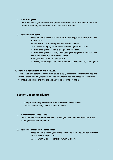# <span id="page-25-0"></span>**2. What is Playlist?**

This mode allows you to create a sequence of different vibes, including the ones of your own creation, with different intensities and durations.

# <span id="page-25-1"></span>**3. How do I use Playlist?**

- Once you have paired a toy to the We-Vibe App, you can tab/click "Play" under "Toys".
- Select "More" form the top bar and click on "Playlist".
- Tap "Create new playlist" and start combining different vibes.
- You can change the vibe by clicking on the vibe Icon.
- You can change the Intensity by adjusting the height of the buckets and set the duration by adjusting the length.
- Give your playlist a name and save it.
- Your playlist will appear on the list and you can try it our by tapping on it.

# <span id="page-25-2"></span>**4. Playlist is not working on We-Vibe App?**

To check on any potential connection issues, simply unpair the toys from the app and remove them manually from your device's Bluetooth settings. Once you have reset your toys and paired them to the app, you'll be ready to try again.

# <span id="page-25-3"></span>**Section 11: Smart Silence**

<span id="page-25-4"></span>**1. Is my We-Vibe toy compatible with the Smart Silence Mode?**  Device Compatibility. Only available for Wand.

# <span id="page-25-5"></span>**2. What is Smart Silence Mode?**

The Wand only starts vibrating when it meets your skin. If you're not using it, the Wand goes into standby mode.

# <span id="page-25-6"></span>**3. How do I enable Smart Silence Mode?**

- Once you have paired your Wand to the We-Vibe App, you can tab/click "Customize" under "Toys.
- Access Smart Silence: Tab/click "Smart Silence".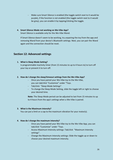Make sure Smart Silence is enabled (the toggle switch next to it would be purple), if the function is not enabled (the toggle switch next to it would be grey), you can enable it by tapping/clicking the toggle.

## <span id="page-26-0"></span>**4. Smart Silence Mode not working on We-Vibe App?**

Smart Silence is available only for the We-Vibe Wand.

If Smart Silence doesn't seem to be working, try unpairing the toy from the app and removing Wand from your device's Bluetooth settings. Next, you can pair the Wand again and the connection should be reset.

# <span id="page-26-1"></span>**Section 12: Advanced settings**

#### <span id="page-26-2"></span>**1. What is Sleep Mode Setting?**

Is programmable inactivity timer (from 15 minutes to up to 4 hours to) to turn off your toy or prevent it to turn off.

#### <span id="page-26-3"></span>**2. How do I change the sleep/timeout settings from the We-Vibe App?**

- Once you have paired your We-Vibe toy to the We-Vibe, you can tab/click "Customize" under "Toys.
- Tab/click "Sleep Mode Settings".
- To change the Sleep Mode Setting, slide the toggle left or right to choose your desired time.

**Note:** The Sleep Mode period can be adjusted to last from 15 minutes to up to 4 hours from the app's settings when a We-Vibe is paired.

# <span id="page-26-4"></span>**3. What is the Maximum intensity?**

You can put a limit or a cap to the maximum vibration for your motor(s).

# <span id="page-26-5"></span>**4. How do I change the maximum intensity?**

- Once you have paired your We-Vibe toy to the We-Vibe App, you can tab/click "Customize" under "Toys.
- Access Maximum Intensity settings: Tab/click "Maximum Intensity settings".
- Change the Maximum Intensity settings: Slide the toggle up or down to choose your desired maximum intensity.